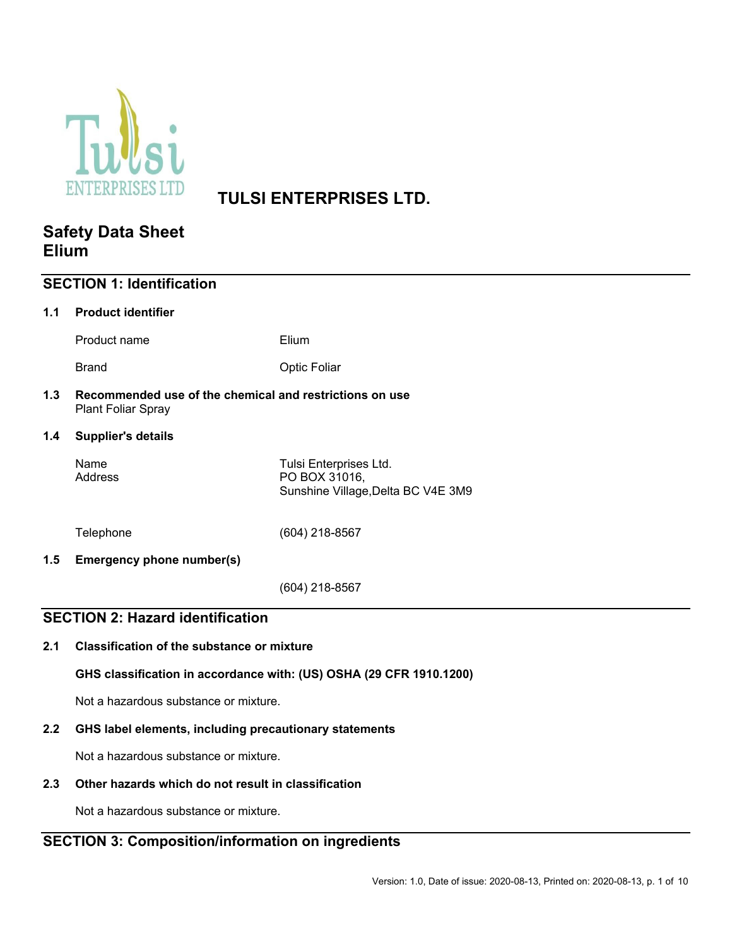

# **TULSI ENTERPRISES LTD.**

# **Safety Data Sheet Elium**

| <b>SECTION 1: Identification</b>        |                                                                               |                                                                               |  |  |  |
|-----------------------------------------|-------------------------------------------------------------------------------|-------------------------------------------------------------------------------|--|--|--|
| 1.1                                     | <b>Product identifier</b>                                                     |                                                                               |  |  |  |
|                                         | Product name                                                                  | Elium                                                                         |  |  |  |
|                                         | <b>Brand</b>                                                                  | <b>Optic Foliar</b>                                                           |  |  |  |
| 1.3                                     | Recommended use of the chemical and restrictions on use<br>Plant Foliar Spray |                                                                               |  |  |  |
| 1.4                                     | <b>Supplier's details</b>                                                     |                                                                               |  |  |  |
|                                         | Name<br>Address                                                               | Tulsi Enterprises Ltd.<br>PO BOX 31016,<br>Sunshine Village, Delta BC V4E 3M9 |  |  |  |
|                                         | Telephone                                                                     | (604) 218-8567                                                                |  |  |  |
| 1.5                                     | <b>Emergency phone number(s)</b>                                              |                                                                               |  |  |  |
|                                         |                                                                               | (604) 218-8567                                                                |  |  |  |
| <b>SECTION 2: Hazard identification</b> |                                                                               |                                                                               |  |  |  |
| 2.1                                     | <b>Classification of the substance or mixture</b>                             |                                                                               |  |  |  |
|                                         | GHS classification in accordance with: (US) OSHA (29 CFR 1910.1200)           |                                                                               |  |  |  |
|                                         | Not a hazardous substance or mixture.                                         |                                                                               |  |  |  |

# **2.2 GHS label elements, including precautionary statements**

Not a hazardous substance or mixture.

## **2.3 Other hazards which do not result in classification**

Not a hazardous substance or mixture.

# **SECTION 3: Composition/information on ingredients**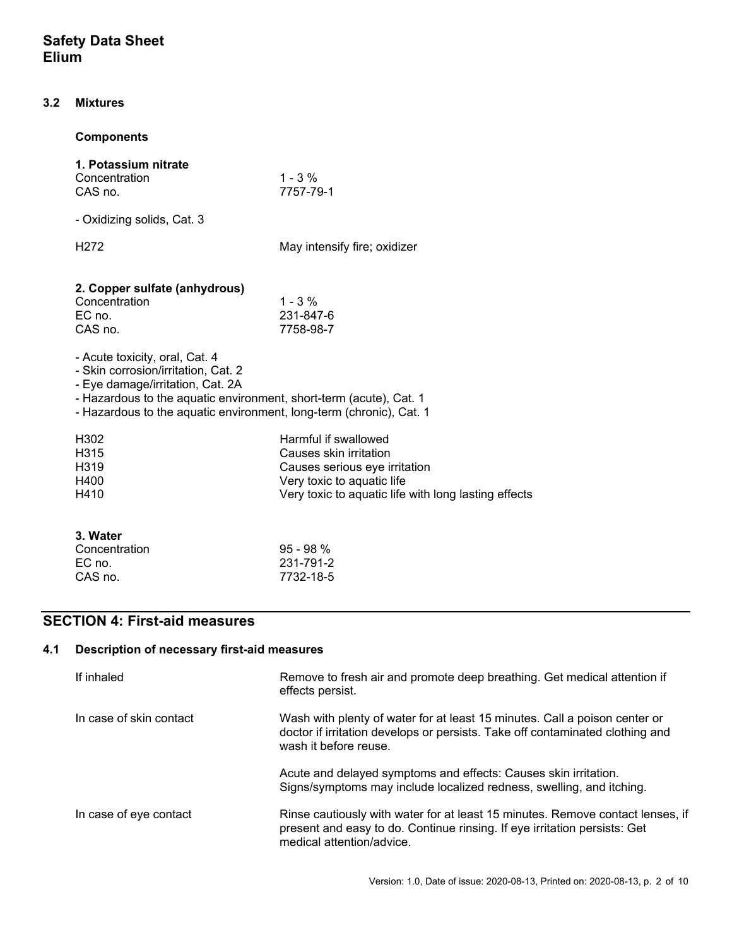#### **3.2 Mixtures**

### **Components**

| 1. Potassium nitrate<br>Concentration<br>CAS no.                                                                                                                                                                                                       | $1 - 3 \%$<br>7757-79-1                                                                                                                                               |  |
|--------------------------------------------------------------------------------------------------------------------------------------------------------------------------------------------------------------------------------------------------------|-----------------------------------------------------------------------------------------------------------------------------------------------------------------------|--|
| - Oxidizing solids, Cat. 3                                                                                                                                                                                                                             |                                                                                                                                                                       |  |
| H <sub>272</sub>                                                                                                                                                                                                                                       | May intensify fire; oxidizer                                                                                                                                          |  |
| 2. Copper sulfate (anhydrous)<br>Concentration<br>$EC$ no.<br>CAS no.                                                                                                                                                                                  | $1 - 3\%$<br>231-847-6<br>7758-98-7                                                                                                                                   |  |
| - Acute toxicity, oral, Cat. 4<br>- Skin corrosion/irritation, Cat. 2<br>- Eye damage/irritation, Cat. 2A<br>- Hazardous to the aquatic environment, short-term (acute), Cat. 1<br>- Hazardous to the aquatic environment, long-term (chronic), Cat. 1 |                                                                                                                                                                       |  |
| H <sub>302</sub><br>H <sub>315</sub><br>H <sub>3</sub> 19<br>H400<br>H410                                                                                                                                                                              | Harmful if swallowed<br>Causes skin irritation<br>Causes serious eye irritation<br>Very toxic to aquatic life<br>Very toxic to aquatic life with long lasting effects |  |
| 3. Water                                                                                                                                                                                                                                               |                                                                                                                                                                       |  |

| Concentration | $95 - 98 \%$ |
|---------------|--------------|
| EC no.        | 231-791-2    |
| CAS no.       | 7732-18-5    |
|               |              |

# **SECTION 4: First-aid measures**

# **4.1 Description of necessary first-aid measures**

| If inhaled              | Remove to fresh air and promote deep breathing. Get medical attention if<br>effects persist.                                                                                             |
|-------------------------|------------------------------------------------------------------------------------------------------------------------------------------------------------------------------------------|
| In case of skin contact | Wash with plenty of water for at least 15 minutes. Call a poison center or<br>doctor if irritation develops or persists. Take off contaminated clothing and<br>wash it before reuse.     |
|                         | Acute and delayed symptoms and effects: Causes skin irritation.<br>Signs/symptoms may include localized redness, swelling, and itching.                                                  |
| In case of eye contact  | Rinse cautiously with water for at least 15 minutes. Remove contact lenses, if<br>present and easy to do. Continue rinsing. If eye irritation persists: Get<br>medical attention/advice. |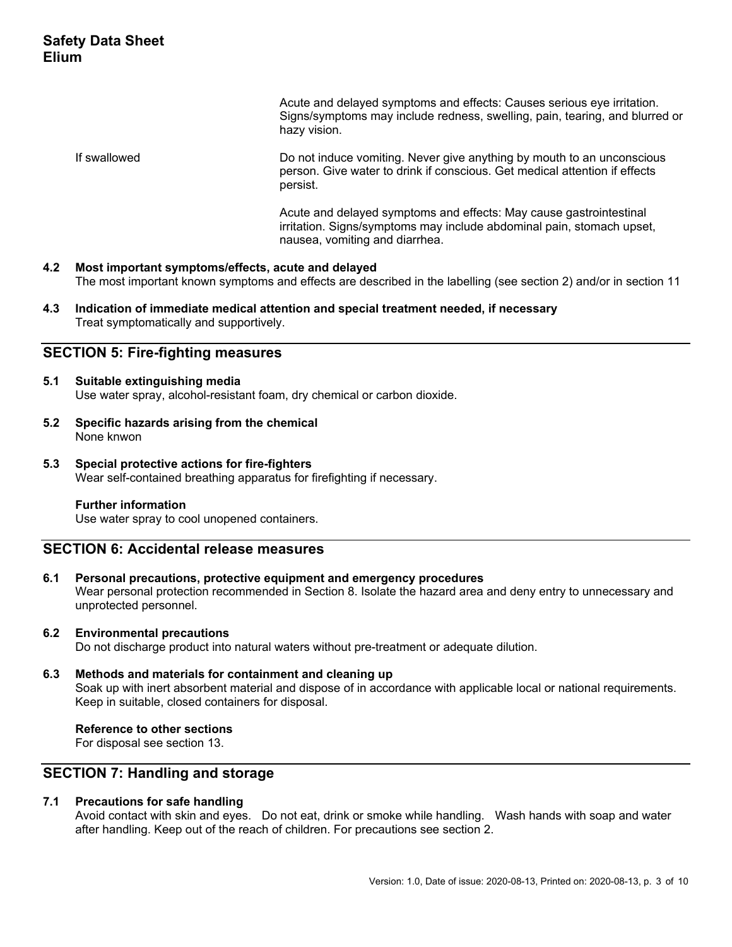Acute and delayed symptoms and effects: Causes serious eye irritation. Signs/symptoms may include redness, swelling, pain, tearing, and blurred or hazy vision.

 If swallowed Do not induce vomiting. Never give anything by mouth to an unconscious person. Give water to drink if conscious. Get medical attention if effects persist.

> Acute and delayed symptoms and effects: May cause gastrointestinal irritation. Signs/symptoms may include abdominal pain, stomach upset, nausea, vomiting and diarrhea.

#### **4.2 Most important symptoms/effects, acute and delayed**  The most important known symptoms and effects are described in the labelling (see section 2) and/or in section 11

**4.3 Indication of immediate medical attention and special treatment needed, if necessary**  Treat symptomatically and supportively.

### **SECTION 5: Fire-fighting measures**

#### **5.1 Suitable extinguishing media**

Use water spray, alcohol-resistant foam, dry chemical or carbon dioxide.

- **5.2 Specific hazards arising from the chemical**  None knwon
- **5.3 Special protective actions for fire-fighters**  Wear self-contained breathing apparatus for firefighting if necessary.

#### **Further information**

Use water spray to cool unopened containers.

## **SECTION 6: Accidental release measures**

**6.1 Personal precautions, protective equipment and emergency procedures** 

Wear personal protection recommended in Section 8. Isolate the hazard area and deny entry to unnecessary and unprotected personnel.

#### **6.2 Environmental precautions**

Do not discharge product into natural waters without pre-treatment or adequate dilution.

### **6.3 Methods and materials for containment and cleaning up**

Soak up with inert absorbent material and dispose of in accordance with applicable local or national requirements. Keep in suitable, closed containers for disposal.

#### **Reference to other sections**

For disposal see section 13.

## **SECTION 7: Handling and storage**

#### **7.1 Precautions for safe handling**

Avoid contact with skin and eyes. Do not eat, drink or smoke while handling. Wash hands with soap and water after handling. Keep out of the reach of children. For precautions see section 2.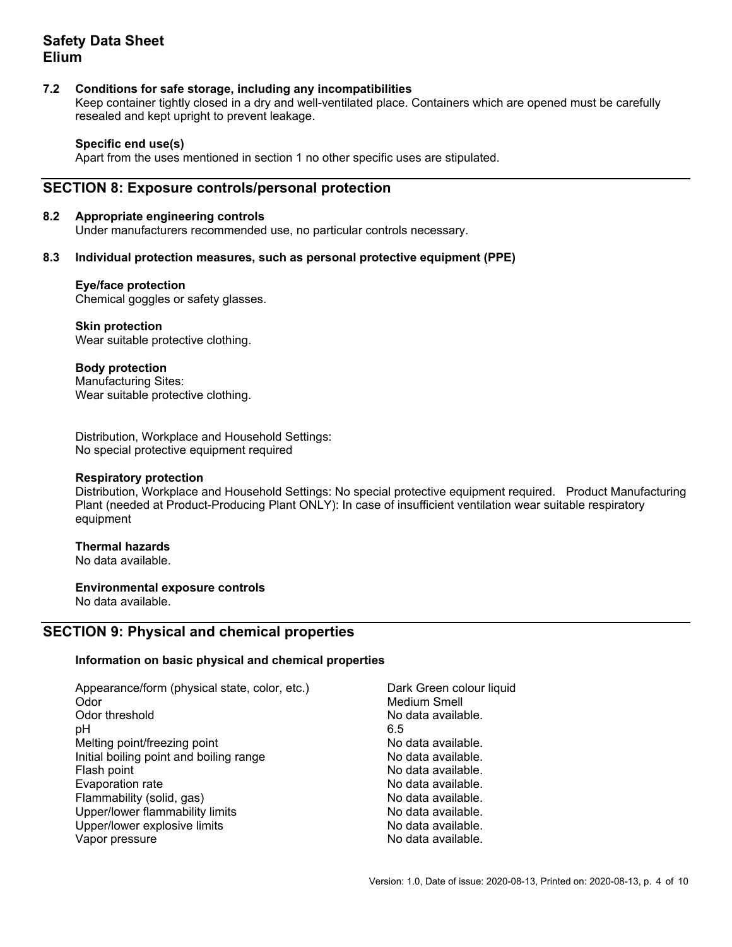#### **7.2 Conditions for safe storage, including any incompatibilities**

Keep container tightly closed in a dry and well-ventilated place. Containers which are opened must be carefully resealed and kept upright to prevent leakage.

#### **Specific end use(s)**

Apart from the uses mentioned in section 1 no other specific uses are stipulated.

### **SECTION 8: Exposure controls/personal protection**

#### **8.2 Appropriate engineering controls**

Under manufacturers recommended use, no particular controls necessary.

#### **8.3 Individual protection measures, such as personal protective equipment (PPE)**

#### **Eye/face protection**

Chemical goggles or safety glasses.

#### **Skin protection**

Wear suitable protective clothing.

#### **Body protection**

Manufacturing Sites: Wear suitable protective clothing.

Distribution, Workplace and Household Settings: No special protective equipment required

#### **Respiratory protection**

Distribution, Workplace and Household Settings: No special protective equipment required. Product Manufacturing Plant (needed at Product-Producing Plant ONLY): In case of insufficient ventilation wear suitable respiratory equipment

## **Thermal hazards**

No data available.

### **Environmental exposure controls**

No data available.

### **SECTION 9: Physical and chemical properties**

#### **Information on basic physical and chemical properties**

| Appearance/form (physical state, color, etc.) | Dark Green colour liquid |
|-----------------------------------------------|--------------------------|
| Odor                                          | <b>Medium Smell</b>      |
| Odor threshold                                | No data available.       |
| рH                                            | 6.5                      |
| Melting point/freezing point                  | No data available.       |
| Initial boiling point and boiling range       | No data available.       |
| Flash point                                   | No data available.       |
| Evaporation rate                              | No data available.       |
| Flammability (solid, gas)                     | No data available.       |
| Upper/lower flammability limits               | No data available.       |
| Upper/lower explosive limits                  | No data available.       |
| Vapor pressure                                | No data available.       |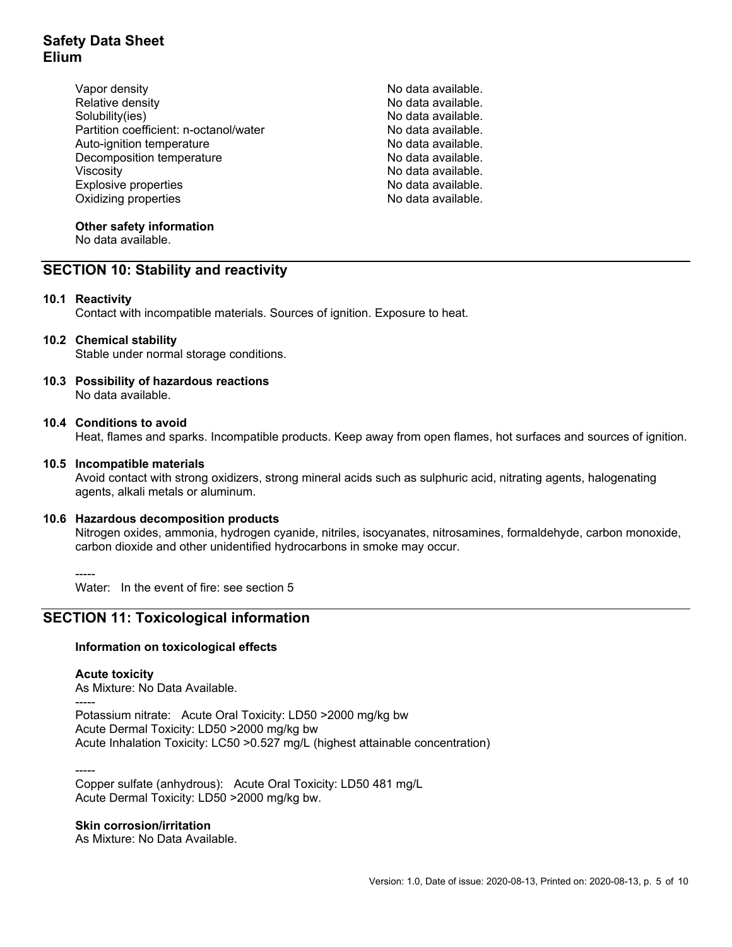- Vapor density No data available. Relative density **No data available**. Solubility(ies) No data available. Partition coefficient: n-octanol/water No data available.<br>Auto-ignition temperature Auto-ignition temperature Decomposition temperature No data available. Viscosity<br>
Explosive properties<br>
Explosive properties<br>
No data available. Explosive properties Oxidizing properties and the set of the set of the No data available.
	-

### **Other safety information**

No data available.

# **SECTION 10: Stability and reactivity**

#### **10.1 Reactivity**

Contact with incompatible materials. Sources of ignition. Exposure to heat.

#### **10.2 Chemical stability**

Stable under normal storage conditions.

**10.3 Possibility of hazardous reactions**  No data available.

#### **10.4 Conditions to avoid**

Heat, flames and sparks. Incompatible products. Keep away from open flames, hot surfaces and sources of ignition.

#### **10.5 Incompatible materials**

Avoid contact with strong oxidizers, strong mineral acids such as sulphuric acid, nitrating agents, halogenating agents, alkali metals or aluminum.

#### **10.6 Hazardous decomposition products**

Nitrogen oxides, ammonia, hydrogen cyanide, nitriles, isocyanates, nitrosamines, formaldehyde, carbon monoxide, carbon dioxide and other unidentified hydrocarbons in smoke may occur.

-----

Water: In the event of fire: see section 5

# **SECTION 11: Toxicological information**

#### **Information on toxicological effects**

#### **Acute toxicity**

As Mixture: No Data Available.

----- Potassium nitrate: Acute Oral Toxicity: LD50 >2000 mg/kg bw Acute Dermal Toxicity: LD50 >2000 mg/kg bw Acute Inhalation Toxicity: LC50 >0.527 mg/L (highest attainable concentration)

-----

Copper sulfate (anhydrous): Acute Oral Toxicity: LD50 481 mg/L Acute Dermal Toxicity: LD50 >2000 mg/kg bw.

#### **Skin corrosion/irritation**

As Mixture: No Data Available.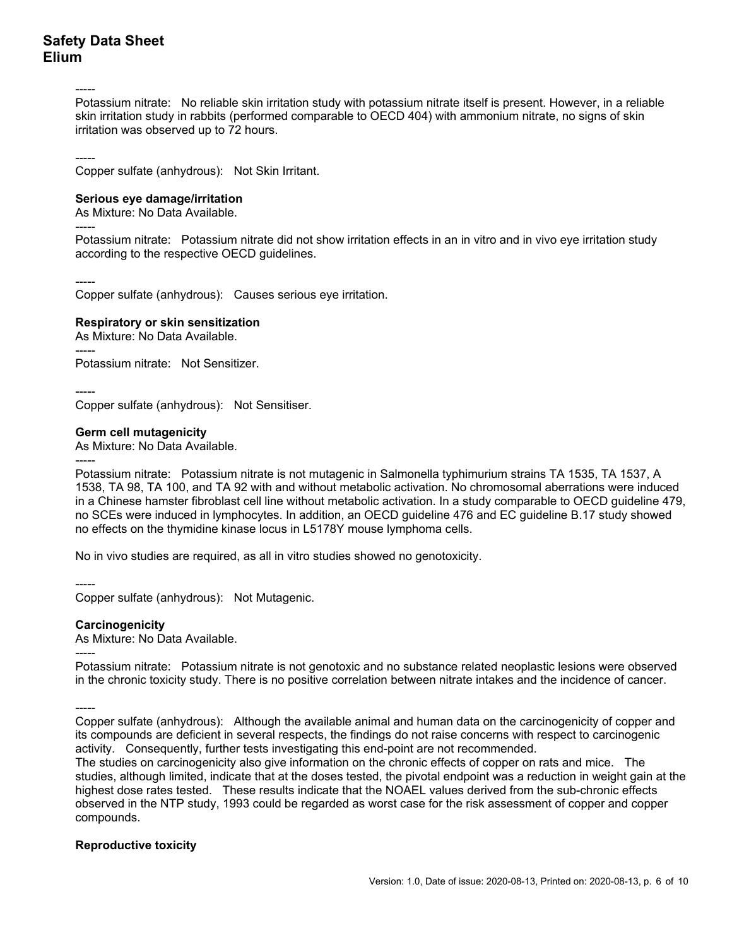-----

Potassium nitrate: No reliable skin irritation study with potassium nitrate itself is present. However, in a reliable skin irritation study in rabbits (performed comparable to OECD 404) with ammonium nitrate, no signs of skin irritation was observed up to 72 hours.

-----

Copper sulfate (anhydrous): Not Skin Irritant.

#### **Serious eye damage/irritation**

As Mixture: No Data Available.

Potassium nitrate: Potassium nitrate did not show irritation effects in an in vitro and in vivo eye irritation study according to the respective OECD guidelines.

-----

-----

Copper sulfate (anhydrous): Causes serious eye irritation.

#### **Respiratory or skin sensitization**

As Mixture: No Data Available.

-----

Potassium nitrate: Not Sensitizer.

----- Copper sulfate (anhydrous): Not Sensitiser.

#### **Germ cell mutagenicity**

As Mixture: No Data Available.

-----

Potassium nitrate: Potassium nitrate is not mutagenic in Salmonella typhimurium strains TA 1535, TA 1537, A 1538, TA 98, TA 100, and TA 92 with and without metabolic activation. No chromosomal aberrations were induced in a Chinese hamster fibroblast cell line without metabolic activation. In a study comparable to OECD guideline 479, no SCEs were induced in lymphocytes. In addition, an OECD guideline 476 and EC guideline B.17 study showed no effects on the thymidine kinase locus in L5178Y mouse lymphoma cells.

No in vivo studies are required, as all in vitro studies showed no genotoxicity.

-----

Copper sulfate (anhydrous): Not Mutagenic.

#### **Carcinogenicity**

As Mixture: No Data Available.

-----

Potassium nitrate: Potassium nitrate is not genotoxic and no substance related neoplastic lesions were observed in the chronic toxicity study. There is no positive correlation between nitrate intakes and the incidence of cancer.

-----

Copper sulfate (anhydrous): Although the available animal and human data on the carcinogenicity of copper and its compounds are deficient in several respects, the findings do not raise concerns with respect to carcinogenic activity. Consequently, further tests investigating this end-point are not recommended.

The studies on carcinogenicity also give information on the chronic effects of copper on rats and mice. The studies, although limited, indicate that at the doses tested, the pivotal endpoint was a reduction in weight gain at the highest dose rates tested. These results indicate that the NOAEL values derived from the sub-chronic effects observed in the NTP study, 1993 could be regarded as worst case for the risk assessment of copper and copper compounds.

#### **Reproductive toxicity**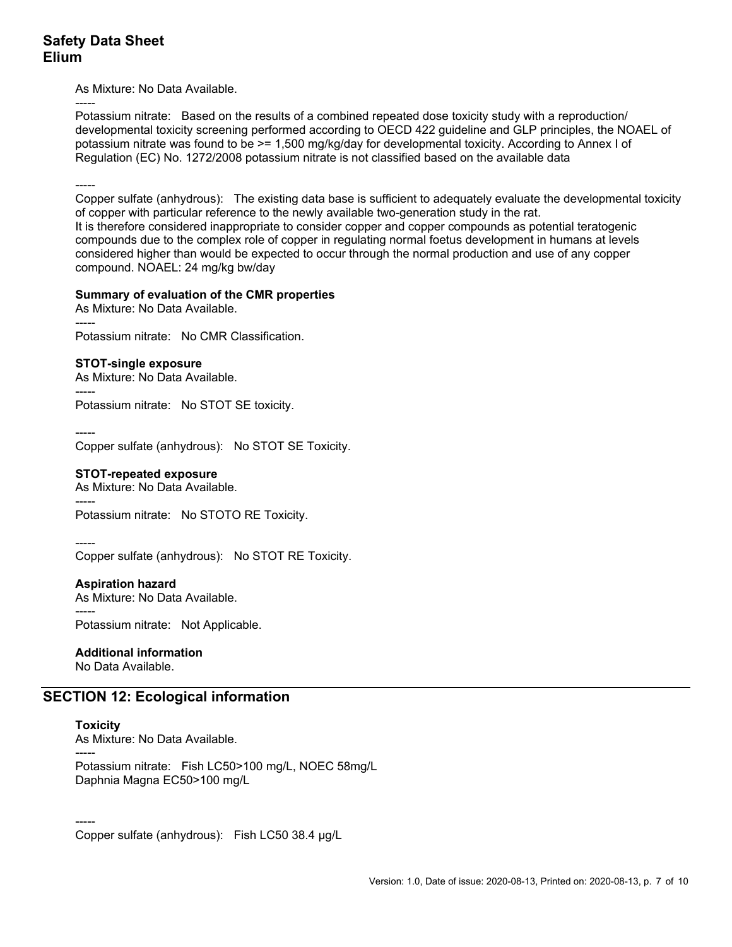As Mixture: No Data Available.

----- Potassium nitrate: Based on the results of a combined repeated dose toxicity study with a reproduction/ developmental toxicity screening performed according to OECD 422 guideline and GLP principles, the NOAEL of potassium nitrate was found to be >= 1,500 mg/kg/day for developmental toxicity. According to Annex I of Regulation (EC) No. 1272/2008 potassium nitrate is not classified based on the available data

-----

Copper sulfate (anhydrous): The existing data base is sufficient to adequately evaluate the developmental toxicity of copper with particular reference to the newly available two-generation study in the rat. It is therefore considered inappropriate to consider copper and copper compounds as potential teratogenic compounds due to the complex role of copper in regulating normal foetus development in humans at levels considered higher than would be expected to occur through the normal production and use of any copper compound. NOAEL: 24 mg/kg bw/day

#### **Summary of evaluation of the CMR properties**

As Mixture: No Data Available. ----- Potassium nitrate: No CMR Classification.

#### **STOT-single exposure**

As Mixture: No Data Available.

----- Potassium nitrate: No STOT SE toxicity.

----- Copper sulfate (anhydrous): No STOT SE Toxicity.

#### **STOT-repeated exposure**

As Mixture: No Data Available. -----

Potassium nitrate: No STOTO RE Toxicity.

----- Copper sulfate (anhydrous): No STOT RE Toxicity.

#### **Aspiration hazard**

As Mixture: No Data Available.

Potassium nitrate: Not Applicable.

# **Additional information**

No Data Available.

# **SECTION 12: Ecological information**

# **Toxicity**

-----

As Mixture: No Data Available.

----- Potassium nitrate: Fish LC50>100 mg/L, NOEC 58mg/L Daphnia Magna EC50>100 mg/L

----- Copper sulfate (anhydrous): Fish LC50 38.4 µg/L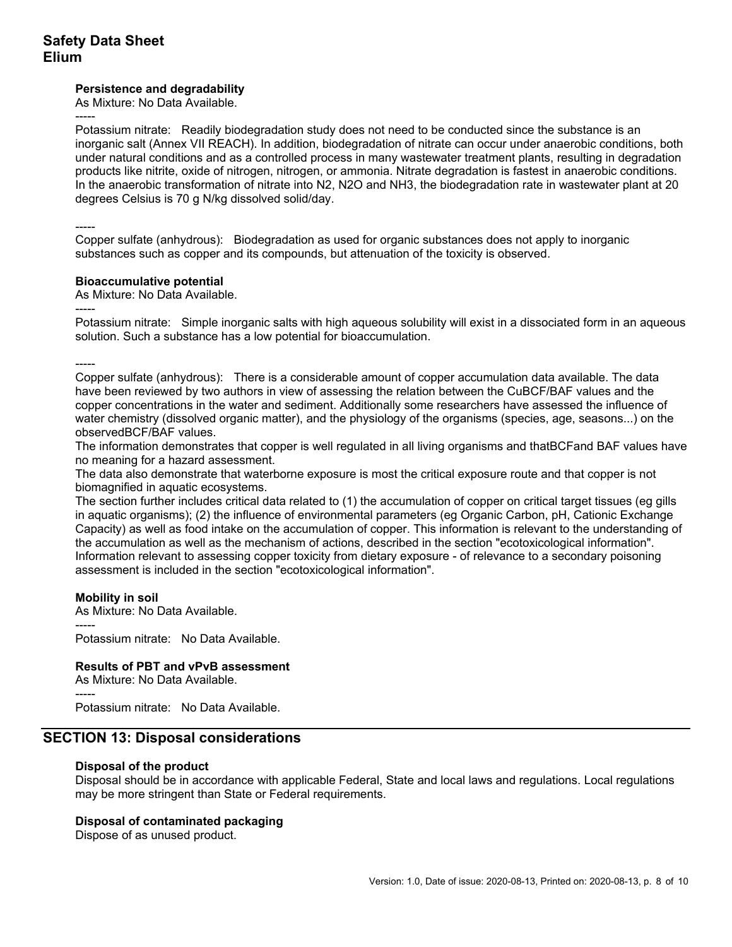#### **Persistence and degradability**

As Mixture: No Data Available.

----- Potassium nitrate: Readily biodegradation study does not need to be conducted since the substance is an inorganic salt (Annex VII REACH). In addition, biodegradation of nitrate can occur under anaerobic conditions, both under natural conditions and as a controlled process in many wastewater treatment plants, resulting in degradation products like nitrite, oxide of nitrogen, nitrogen, or ammonia. Nitrate degradation is fastest in anaerobic conditions. In the anaerobic transformation of nitrate into N2, N2O and NH3, the biodegradation rate in wastewater plant at 20 degrees Celsius is 70 g N/kg dissolved solid/day.

----- Copper sulfate (anhydrous): Biodegradation as used for organic substances does not apply to inorganic substances such as copper and its compounds, but attenuation of the toxicity is observed.

#### **Bioaccumulative potential**

As Mixture: No Data Available.

----- Potassium nitrate: Simple inorganic salts with high aqueous solubility will exist in a dissociated form in an aqueous solution. Such a substance has a low potential for bioaccumulation.

----- Copper sulfate (anhydrous): There is a considerable amount of copper accumulation data available. The data have been reviewed by two authors in view of assessing the relation between the CuBCF/BAF values and the copper concentrations in the water and sediment. Additionally some researchers have assessed the influence of water chemistry (dissolved organic matter), and the physiology of the organisms (species, age, seasons...) on the observedBCF/BAF values.

The information demonstrates that copper is well regulated in all living organisms and thatBCFand BAF values have no meaning for a hazard assessment.

The data also demonstrate that waterborne exposure is most the critical exposure route and that copper is not biomagnified in aquatic ecosystems.

The section further includes critical data related to (1) the accumulation of copper on critical target tissues (eg gills in aquatic organisms); (2) the influence of environmental parameters (eg Organic Carbon, pH, Cationic Exchange Capacity) as well as food intake on the accumulation of copper. This information is relevant to the understanding of the accumulation as well as the mechanism of actions, described in the section "ecotoxicological information". Information relevant to assessing copper toxicity from dietary exposure - of relevance to a secondary poisoning assessment is included in the section "ecotoxicological information".

### **Mobility in soil**

As Mixture: No Data Available.

----- Potassium nitrate: No Data Available.

#### **Results of PBT and vPvB assessment**

As Mixture: No Data Available.

----- Potassium nitrate: No Data Available.

# **SECTION 13: Disposal considerations**

#### **Disposal of the product**

Disposal should be in accordance with applicable Federal, State and local laws and regulations. Local regulations may be more stringent than State or Federal requirements.

#### **Disposal of contaminated packaging**

Dispose of as unused product.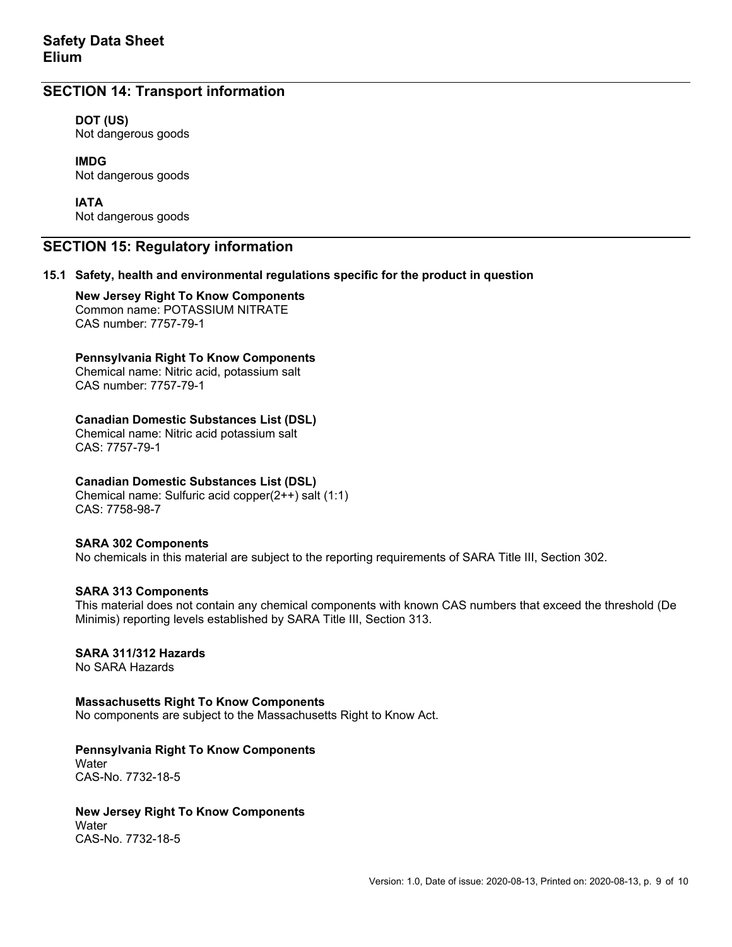## **SECTION 14: Transport information**

#### **DOT (US)**

Not dangerous goods

# **IMDG**

Not dangerous goods

#### **IATA**

Not dangerous goods

### **SECTION 15: Regulatory information**

#### **15.1 Safety, health and environmental regulations specific for the product in question**

 **New Jersey Right To Know Components**  Common name: POTASSIUM NITRATE CAS number: 7757-79-1

#### **Pennsylvania Right To Know Components**

Chemical name: Nitric acid, potassium salt CAS number: 7757-79-1

#### **Canadian Domestic Substances List (DSL)**

Chemical name: Nitric acid potassium salt CAS: 7757-79-1

#### **Canadian Domestic Substances List (DSL)**

Chemical name: Sulfuric acid copper(2++) salt (1:1) CAS: 7758-98-7

#### **SARA 302 Components**

No chemicals in this material are subject to the reporting requirements of SARA Title III, Section 302.

#### **SARA 313 Components**

This material does not contain any chemical components with known CAS numbers that exceed the threshold (De Minimis) reporting levels established by SARA Title III, Section 313.

### **SARA 311/312 Hazards**

No SARA Hazards

#### **Massachusetts Right To Know Components**

No components are subject to the Massachusetts Right to Know Act.

### **Pennsylvania Right To Know Components**

**Water** CAS-No. 7732-18-5

# **New Jersey Right To Know Components**

**Water** CAS-No. 7732-18-5